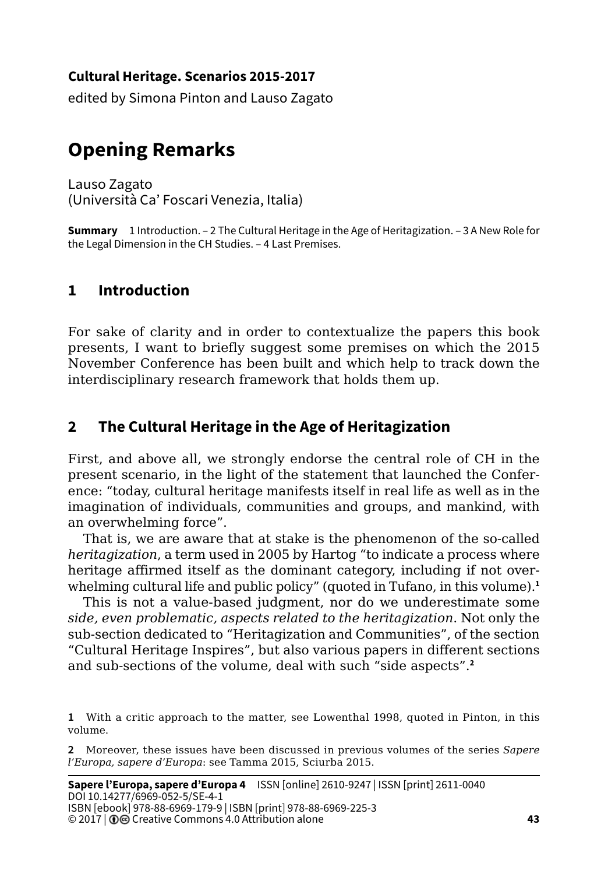### **Cultural Heritage. Scenarios 2015-2017**

edited by Simona Pinton and Lauso Zagato

# **Opening Remarks**

Lauso Zagato

(Università Ca' Foscari Venezia, Italia)

**Summary** 1 Introduction. – 2 The Cultural Heritage in the Age of Heritagization. – 3 A New Role for the Legal Dimension in the CH Studies. – 4 Last Premises.

# **1 Introduction**

For sake of clarity and in order to contextualize the papers this book presents, I want to briefly suggest some premises on which the 2015 November Conference has been built and which help to track down the interdisciplinary research framework that holds them up.

## **2 The Cultural Heritage in the Age of Heritagization**

First, and above all, we strongly endorse the central role of CH in the present scenario, in the light of the statement that launched the Conference: "today, cultural heritage manifests itself in real life as well as in the imagination of individuals, communities and groups, and mankind, with an overwhelming force".

That is, we are aware that at stake is the phenomenon of the so-called *heritagization*, a term used in 2005 by Hartog "to indicate a process where heritage affirmed itself as the dominant category, including if not overwhelming cultural life and public policy" (quoted in Tufano, in this volume).**<sup>1</sup>**

This is not a value-based judgment, nor do we underestimate some *side, even problematic, aspects related to the heritagization*. Not only the sub-section dedicated to "Heritagization and Communities", of the section "Cultural Heritage Inspires", but also various papers in different sections and sub-sections of the volume, deal with such "side aspects".**<sup>2</sup>**

**<sup>1</sup>** With a critic approach to the matter, see Lowenthal 1998, quoted in Pinton, in this volume.

**<sup>2</sup>** Moreover, these issues have been discussed in previous volumes of the series *Sapere l'Europa, sapere d'Europa*: see Tamma 2015, Sciurba 2015.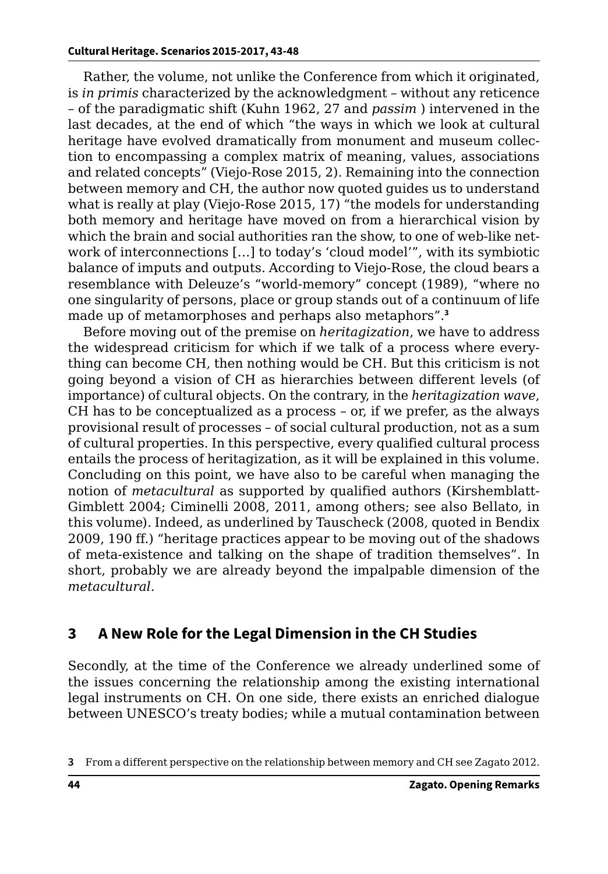#### **Cultural Heritage. Scenarios 2015-2017, 43-48**

Rather, the volume, not unlike the Conference from which it originated, is *in primis* characterized by the acknowledgment – without any reticence – of the paradigmatic shift (Kuhn 1962, 27 and *passim* ) intervened in the last decades, at the end of which "the ways in which we look at cultural heritage have evolved dramatically from monument and museum collection to encompassing a complex matrix of meaning, values, associations and related concepts" (Viejo-Rose 2015, 2). Remaining into the connection between memory and CH, the author now quoted guides us to understand what is really at play (Viejo-Rose 2015, 17) "the models for understanding both memory and heritage have moved on from a hierarchical vision by which the brain and social authorities ran the show, to one of web-like network of interconnections […] to today's 'cloud model'", with its symbiotic balance of imputs and outputs. According to Viejo-Rose, the cloud bears a resemblance with Deleuze's "world-memory" concept (1989), "where no one singularity of persons, place or group stands out of a continuum of life made up of metamorphoses and perhaps also metaphors".**<sup>3</sup>**

Before moving out of the premise on *heritagization*, we have to address the widespread criticism for which if we talk of a process where everything can become CH, then nothing would be CH. But this criticism is not going beyond a vision of CH as hierarchies between different levels (of importance) of cultural objects. On the contrary, in the *heritagization wave*, CH has to be conceptualized as a process – or, if we prefer, as the always provisional result of processes – of social cultural production, not as a sum of cultural properties. In this perspective, every qualified cultural process entails the process of heritagization, as it will be explained in this volume. Concluding on this point, we have also to be careful when managing the notion of *metacultural* as supported by qualified authors (Kirshemblatt-Gimblett 2004; Ciminelli 2008, 2011, among others; see also Bellato, in this volume). Indeed, as underlined by Tauscheck (2008, quoted in Bendix 2009, 190 ff.) "heritage practices appear to be moving out of the shadows of meta-existence and talking on the shape of tradition themselves". In short, probably we are already beyond the impalpable dimension of the *metacultural*.

### **3 A New Role for the Legal Dimension in the CH Studies**

Secondly, at the time of the Conference we already underlined some of the issues concerning the relationship among the existing international legal instruments on CH. On one side, there exists an enriched dialogue between UNESCO's treaty bodies; while a mutual contamination between

**<sup>3</sup>** From a different perspective on the relationship between memory and CH see Zagato 2012.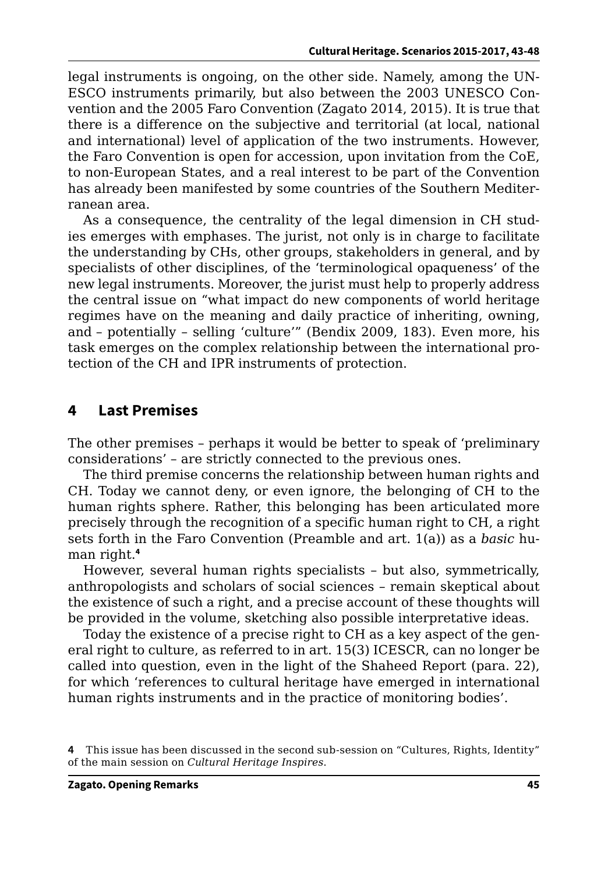legal instruments is ongoing, on the other side. Namely, among the UN-ESCO instruments primarily, but also between the 2003 UNESCO Convention and the 2005 Faro Convention (Zagato 2014, 2015). It is true that there is a difference on the subjective and territorial (at local, national and international) level of application of the two instruments. However, the Faro Convention is open for accession, upon invitation from the CoE, to non-European States, and a real interest to be part of the Convention has already been manifested by some countries of the Southern Mediterranean area.

As a consequence, the centrality of the legal dimension in CH studies emerges with emphases. The jurist, not only is in charge to facilitate the understanding by CHs, other groups, stakeholders in general, and by specialists of other disciplines, of the 'terminological opaqueness' of the new legal instruments. Moreover, the jurist must help to properly address the central issue on "what impact do new components of world heritage regimes have on the meaning and daily practice of inheriting, owning, and – potentially – selling 'culture'" (Bendix 2009, 183). Even more, his task emerges on the complex relationship between the international protection of the CH and IPR instruments of protection.

## **4 Last Premises**

The other premises – perhaps it would be better to speak of 'preliminary considerations' – are strictly connected to the previous ones.

The third premise concerns the relationship between human rights and CH. Today we cannot deny, or even ignore, the belonging of CH to the human rights sphere. Rather, this belonging has been articulated more precisely through the recognition of a specific human right to CH, a right sets forth in the Faro Convention (Preamble and art. 1(a)) as a *basic* human right.**<sup>4</sup>**

However, several human rights specialists – but also, symmetrically, anthropologists and scholars of social sciences – remain skeptical about the existence of such a right, and a precise account of these thoughts will be provided in the volume, sketching also possible interpretative ideas.

Today the existence of a precise right to CH as a key aspect of the general right to culture, as referred to in art. 15(3) ICESCR, can no longer be called into question, even in the light of the Shaheed Report (para. 22), for which 'references to cultural heritage have emerged in international human rights instruments and in the practice of monitoring bodies'.

**<sup>4</sup>** This issue has been discussed in the second sub-session on "Cultures, Rights, Identity" of the main session on *Cultural Heritage Inspires*.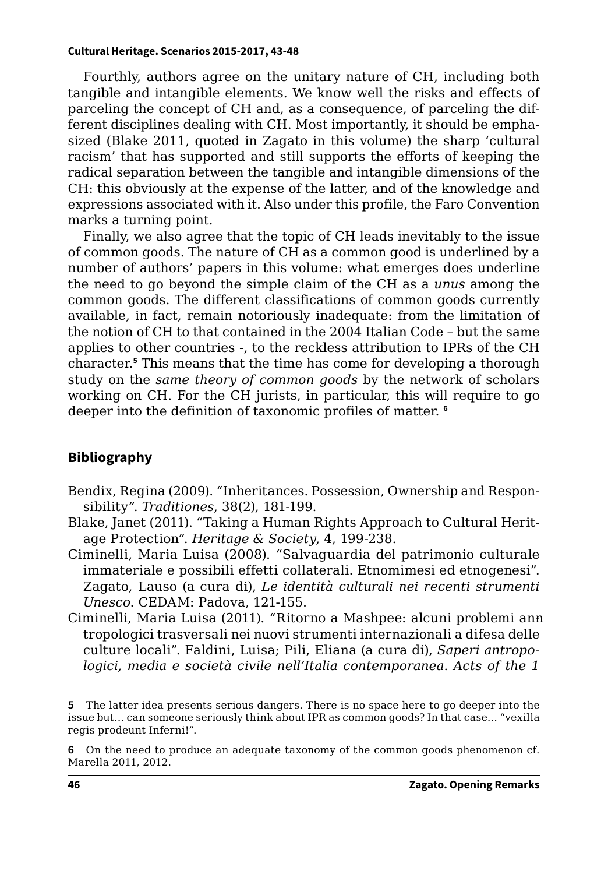Fourthly, authors agree on the unitary nature of CH, including both tangible and intangible elements. We know well the risks and effects of parceling the concept of CH and, as a consequence, of parceling the different disciplines dealing with CH. Most importantly, it should be emphasized (Blake 2011, quoted in Zagato in this volume) the sharp 'cultural racism' that has supported and still supports the efforts of keeping the radical separation between the tangible and intangible dimensions of the CH: this obviously at the expense of the latter, and of the knowledge and expressions associated with it. Also under this profile, the Faro Convention marks a turning point.

Finally, we also agree that the topic of CH leads inevitably to the issue of common goods. The nature of CH as a common good is underlined by a number of authors' papers in this volume: what emerges does underline the need to go beyond the simple claim of the CH as a *unus* among the common goods. The different classifications of common goods currently available, in fact, remain notoriously inadequate: from the limitation of the notion of CH to that contained in the 2004 Italian Code – but the same applies to other countries -, to the reckless attribution to IPRs of the CH character.**<sup>5</sup>** This means that the time has come for developing a thorough study on the *same theory of common goods* by the network of scholars working on CH. For the CH jurists, in particular, this will require to go deeper into the definition of taxonomic profiles of matter. **<sup>6</sup>**

### **Bibliography**

- Bendix, Regina (2009). "Inheritances. Possession, Ownership and Responsibility". *Traditiones*, 38(2), 181-199.
- Blake, Janet (2011). "Taking a Human Rights Approach to Cultural Heritage Protection". *Heritage & Society*, 4, 199-238.
- Ciminelli, Maria Luisa (2008). "Salvaguardia del patrimonio culturale immateriale e possibili effetti collaterali. Etnomimesi ed etnogenesi". Zagato, Lauso (a cura di), *Le identità culturali nei recenti strumenti Unesco*. CEDAM: Padova, 121-155.
- Ciminelli, Maria Luisa (2011). "Ritorno a Mashpee: alcuni problemi anntropologici trasversali nei nuovi strumenti internazionali a difesa delle culture locali". Faldini, Luisa; Pili, Eliana (a cura di), *Saperi antropologici, media e società civile nell'Italia contemporanea*. *Acts of the 1*

**6** On the need to produce an adequate taxonomy of the common goods phenomenon cf. Marella 2011, 2012.

**<sup>5</sup>** The latter idea presents serious dangers. There is no space here to go deeper into the issue but… can someone seriously think about IPR as common goods? In that case… "vexilla regis prodeunt Inferni!".